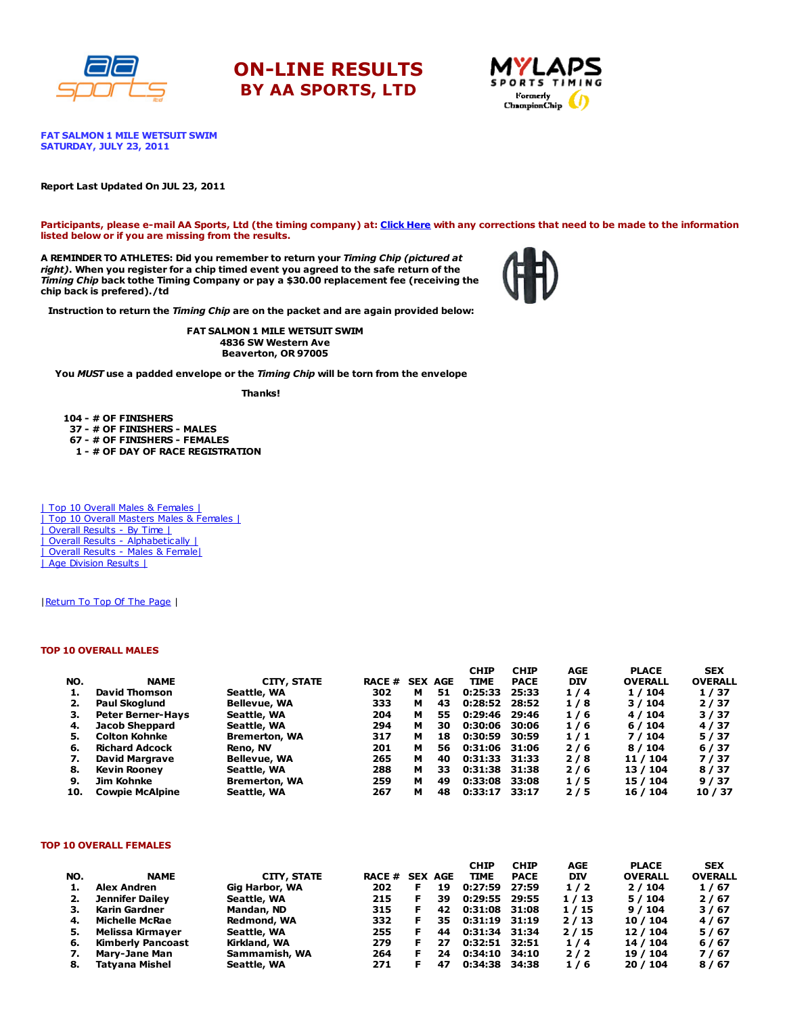





FAT SALMON 1 MILE WETSUIT SWIM SATURDAY, JULY 23, 2011

#### Report Last Updated On JUL 23, 2011

Participants, please e-mail AA Sports, Ltd (the timing company) at: Click [Here](http://www.racecenter.com/aa-sports-results-inquiry/) with any corrections that need to be made to the information listed below or if you are missing from the results.

A REMINDER TO ATHLETES: Did you remember to return your Timing Chip (pictured at right). When you register for a chip timed event you agreed to the safe return of the Timing Chip back tothe Timing Company or pay a \$30.00 replacement fee (receiving the chip back is prefered)./td



Instruction to return the Timing Chip are on the packet and are again provided below:

FAT SALMON 1 MILE WETSUIT SWIM 4836 SW Western Ave Beaverton, OR 97005

You MUST use a padded envelope or the Timing Chip will be torn from the envelope

Thanks!

 - # OF FINISHERS - # OF FINISHERS - MALES - # OF FINISHERS - FEMALES - # OF DAY OF RACE REGISTRATION

| Top 10 Overall Males & Females | | Top 10 Overall Masters Males & Females | | Overall Results - By Time | | Overall Results - [Alphabetically](http://www.racecenter.com/results/2011/res_s2al11.htm) | | Overall Results - Males & [Female|](http://www.racecenter.com/results/2011/res_s2og11.htm) | Age [Division](http://www.racecenter.com/results/2011/res_s2ag11.htm) Results |

| Return To Top Of The Page |

### TOP 10 OVERALL MALES

|     |                          |                      |               |   |                | <b>CHIP</b>     | <b>CHIP</b> | AGE        | <b>PLACE</b>   | <b>SEX</b>     |
|-----|--------------------------|----------------------|---------------|---|----------------|-----------------|-------------|------------|----------------|----------------|
| NO. | <b>NAME</b>              | CITY, STATE          | <b>RACE #</b> |   | <b>SEX AGE</b> | <b>TIME</b>     | <b>PACE</b> | <b>DIV</b> | <b>OVERALL</b> | <b>OVERALL</b> |
|     | <b>David Thomson</b>     | Seattle, WA          | 302           | м | 51             | 0:25:33         | 25:33       | 1/4        | 1/104          | 1/37           |
| 2.  | Paul Skoglund            | <b>Bellevue, WA</b>  | 333           | м | 43             | 0:28:52         | 28:52       | 1/8        | 3/104          | 2/37           |
| з.  | <b>Peter Berner-Havs</b> | Seattle, WA          | 204           | м | 55             | 0:29:46         | 29:46       | 1/6        | 4 / 104        | 3/37           |
| 4.  | <b>Jacob Sheppard</b>    | Seattle, WA          | 294           | м | 30             | 0:30:06         | 30:06       | 1/6        | 6/104          | 4/37           |
| 5.  | Colton Kohnke            | <b>Bremerton, WA</b> | 317           | м | 18             | 0:30:59         | 30:59       | 1/1        | 7 / 104        | 5/37           |
| 6.  | <b>Richard Adcock</b>    | Reno, NV             | 201           | м | 56             | $0:31:06$ 31:06 |             | 2/6        | 8/104          | 6/37           |
| 7.  | David Margrave           | <b>Bellevue, WA</b>  | 265           | м | 40             | 0:31:33 31:33   |             | 2/8        | 11 / 104       | 7/37           |
| 8.  | <b>Kevin Rooney</b>      | Seattle, WA          | 288           | м | 33             | 0:31:38         | 31:38       | 2/6        | 13 / 104       | 8/37           |
| 9.  | Jim Kohnke               | <b>Bremerton, WA</b> | 259           | м | 49             | 0:33:08         | 33:08       | 1/5        | 15 / 104       | 9/37           |
| 10. | <b>Cowpie McAlpine</b>   | Seattle, WA          | 267           | м | 48             | 0:33:17         | 33:17       | 2/5        | 16 / 104       | 10 / 37        |

#### TOP 10 OVERALL FEMALES

|     |                          |                    |                |     | <b>CHIP</b>     | <b>CHIP</b> | AGE        | <b>PLACE</b>   | <b>SEX</b>     |
|-----|--------------------------|--------------------|----------------|-----|-----------------|-------------|------------|----------------|----------------|
| NO. | <b>NAME</b>              | <b>CITY, STATE</b> | RACE # SEX AGE |     | <b>TIME</b>     | <b>PACE</b> | <b>DIV</b> | <b>OVERALL</b> | <b>OVERALL</b> |
| ı.  | Alex Andren              | Gig Harbor, WA     | 202            | 19  | 0:27:59         | 27:59       | 1/2        | 2/104          | 1/67           |
| 2.  | Jennifer Dailev          | Seattle, WA        | 215            | 39  | 0:29:55 29:55   |             | 1/13       | 5/104          | 2/67           |
| з.  | Karin Gardner            | Mandan, ND         | 315            | 42  | 0:31:08 31:08   |             | 1/15       | 9/104          | 3/67           |
| 4.  | <b>Michelle McRae</b>    | Redmond, WA        | 332            | 35. | $0:31:19$ 31:19 |             | 2/13       | 10 / 104       | 4/67           |
| 5.  | Melissa Kirmaver         | Seattle, WA        | 255            | 44  | 0:31:34 31:34   |             | 2/15       | 12 / 104       | 5/67           |
| 6.  | <b>Kimberly Pancoast</b> | Kirkland, WA       | 279            | 27  | 0:32:51 32:51   |             | 1/4        | 14 / 104       | 6/67           |
| 7.  | Mary-Jane Man            | Sammamish, WA      | 264            | 24  | 0:34:10         | 34:10       | 2/2        | 19 / 104       | 7/67           |
| 8.  | Tatvana Mishel           | Seattle, WA        | 271            | 47  | 0:34:38         | 34:38       | 1/6        | 20 / 104       | 8/67           |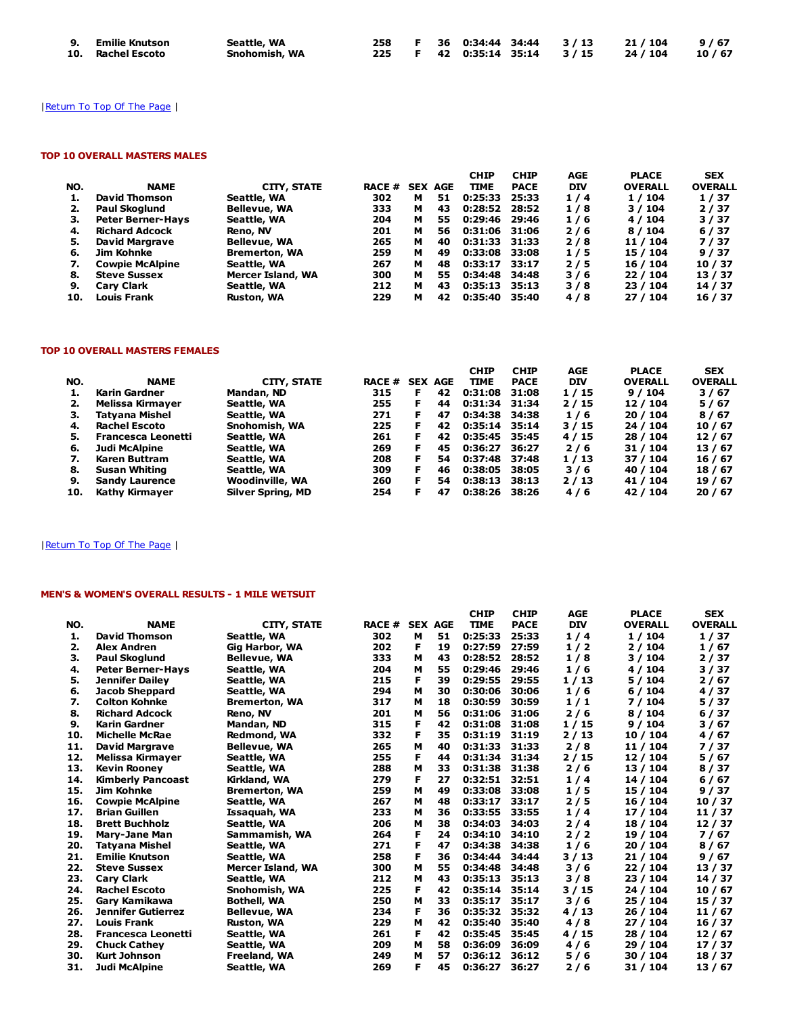| 9. Emilie Knutson | Seattle, WA   |  |  |  | 258 F 36 0:34:44 34:44 3/13 21/104 9/67  |  |
|-------------------|---------------|--|--|--|------------------------------------------|--|
| 10. Rachel Escoto | Snohomish, WA |  |  |  | 225 F 42 0:35:14 35:14 3/15 24/104 10/67 |  |

# | Return To Top Of The Page |

## TOP 10 OVERALL MASTERS MALES

|     |                          |                      |               |   |                | <b>CHIP</b>     | <b>CHIP</b> | AGE        | <b>PLACE</b>   | <b>SEX</b>     |
|-----|--------------------------|----------------------|---------------|---|----------------|-----------------|-------------|------------|----------------|----------------|
| NO. | <b>NAME</b>              | CITY, STATE          | <b>RACE #</b> |   | <b>SEX AGE</b> | <b>TIME</b>     | <b>PACE</b> | <b>DIV</b> | <b>OVERALL</b> | <b>OVERALL</b> |
|     | <b>David Thomson</b>     | Seattle, WA          | 302           | м | 51             | 0:25:33         | 25:33       | 1/4        | 1/104          | 1/37           |
| 2.  | <b>Paul Skoglund</b>     | <b>Bellevue, WA</b>  | 333           | м | 43             | 0:28:52         | 28:52       | 1/8        | 3/104          | 2/37           |
| з.  | <b>Peter Berner-Havs</b> | Seattle, WA          | 204           | м | 55             | 0:29:46         | 29:46       | 1/6        | 4 / 104        | 3/37           |
| 4.  | <b>Richard Adcock</b>    | Reno, NV             | 201           | м | 56             | 0:31:06 31:06   |             | 2/6        | 8/104          | 6/37           |
| 5.  | <b>David Margrave</b>    | <b>Bellevue, WA</b>  | 265           | м | 40             | $0:31:33$ 31:33 |             | 2/8        | 11 / 104       | 7/37           |
| 6.  | Jim Kohnke               | <b>Bremerton, WA</b> | 259           | м | 49             | 0:33:08         | 33:08       | 1/5        | 15 / 104       | 9/37           |
| 7.  | <b>Cowpie McAlpine</b>   | Seattle, WA          | 267           | м | 48             | 0:33:17         | 33:17       | 2/5        | 16 / 104       | 10/37          |
| 8.  | <b>Steve Sussex</b>      | Mercer Island, WA    | 300           | м | 55             | 0:34:48         | 34:48       | 3/6        | 22/104         | 13/37          |
| 9.  | <b>Cary Clark</b>        | Seattle, WA          | 212           | м | 43             | 0:35:13         | 35:13       | 3/8        | 23 / 104       | 14 / 37        |
| 10. | Louis Frank              | <b>Ruston, WA</b>    | 229           | м | 42             | 0:35:40         | 35:40       | 4/8        | 27 / 104       | 16 / 37        |

## TOP 10 OVERALL MASTERS FEMALES

|     |                           |                        |               |    |                | <b>CHIP</b>   | <b>CHIP</b> | AGE        | <b>PLACE</b>   | <b>SEX</b>     |
|-----|---------------------------|------------------------|---------------|----|----------------|---------------|-------------|------------|----------------|----------------|
| NO. | <b>NAME</b>               | CITY, STATE            | <b>RACE #</b> |    | <b>SEX AGE</b> | <b>TIME</b>   | <b>PACE</b> | <b>DIV</b> | <b>OVERALL</b> | <b>OVERALL</b> |
|     | Karin Gardner             | Mandan, ND             | 315           |    | 42             | 0:31:08       | 31:08       | 1/15       | 9/104          | 3/67           |
|     | Melissa Kirmaver          | Seattle, WA            | 255           | F. | 44             | 0:31:34 31:34 |             | 2/15       | 12 / 104       | 5/67           |
| з.  | Tatvana Mishel            | Seattle, WA            | 271           |    | 47             | 0:34:38       | 34:38       | 1/6        | 20 / 104       | 8/67           |
| 4.  | <b>Rachel Escoto</b>      | Snohomish, WA          | 225           |    | 42             | 0:35:14 35:14 |             | 3/15       | 24 / 104       | 10/67          |
| 5.  | <b>Francesca Leonetti</b> | Seattle, WA            | 261           |    | 42             | 0:35:45 35:45 |             | 4/15       | 28 / 104       | 12/67          |
| 6.  | Judi McAlpine             | Seattle, WA            | 269           | F. | 45             | 0:36:27       | 36:27       | 2/6        | 31 / 104       | 13/67          |
|     | Karen Buttram             | Seattle, WA            | 208           | F. | 54             | 0:37:48 37:48 |             | 1/13       | 37 / 104       | 16/67          |
| 8.  | Susan Whiting             | Seattle, WA            | 309           | F. | 46             | 0:38:05       | 38:05       | 3/6        | 40 / 104       | 18/67          |
| 9.  | <b>Sandy Laurence</b>     | <b>Woodinville, WA</b> | 260           |    | 54             | 0:38:13       | 38:13       | 2/13       | 41 / 104       | 19/67          |
| 10. | Kathy Kirmayer            | Silver Spring, MD      | 254           |    | 47             | 0:38:26       | 38:26       | 4/6        | 42 / 104       | 20/67          |

# | Return To Top Of The Page

# MEN'S & WOMEN'S OVERALL RESULTS - 1 MILE WETSUIT

|     |                           |                          |       |                |    | <b>CHIP</b> | <b>CHIP</b> | <b>AGE</b> | <b>PLACE</b>   | <b>SEX</b>     |
|-----|---------------------------|--------------------------|-------|----------------|----|-------------|-------------|------------|----------------|----------------|
| NO. | <b>NAME</b>               | <b>CITY, STATE</b>       | RACE# | <b>SEX AGE</b> |    | <b>TIME</b> | <b>PACE</b> | <b>DIV</b> | <b>OVERALL</b> | <b>OVERALL</b> |
| 1.  | <b>David Thomson</b>      | Seattle, WA              | 302   | м              | 51 | 0:25:33     | 25:33       | 1/4        | 1/104          | 1/37           |
| 2.  | <b>Alex Andren</b>        | <b>Gig Harbor, WA</b>    | 202   | F              | 19 | 0:27:59     | 27:59       | 1/2        | 2/104          | 1/67           |
| з.  | <b>Paul Skoglund</b>      | <b>Bellevue, WA</b>      | 333   | м              | 43 | 0:28:52     | 28:52       | 1/8        | 3 / 104        | 2/37           |
| 4.  | <b>Peter Berner-Hays</b>  | Seattle, WA              | 204   | м              | 55 | 0:29:46     | 29:46       | 1/6        | 4 / 104        | 3/37           |
| 5.  | <b>Jennifer Dailev</b>    | Seattle, WA              | 215   | F              | 39 | 0:29:55     | 29:55       | 1/13       | 5/104          | 2/67           |
| 6.  | <b>Jacob Sheppard</b>     | Seattle, WA              | 294   | M              | 30 | 0:30:06     | 30:06       | 1/6        | 6/104          | 4/37           |
| 7.  | <b>Colton Kohnke</b>      | <b>Bremerton, WA</b>     | 317   | м              | 18 | 0:30:59     | 30:59       | 1/1        | 7 / 104        | 5/37           |
| 8.  | <b>Richard Adcock</b>     | Reno, NV                 | 201   | м              | 56 | 0:31:06     | 31:06       | 2/6        | 8/104          | 6/37           |
| 9.  | <b>Karin Gardner</b>      | Mandan, ND               | 315   | F              | 42 | 0:31:08     | 31:08       | 1/15       | 9/104          | 3/67           |
| 10. | <b>Michelle McRae</b>     | Redmond, WA              | 332   | F              | 35 | 0:31:19     | 31:19       | 2/13       | 10 / 104       | 4/67           |
| 11. | <b>David Margrave</b>     | <b>Bellevue, WA</b>      | 265   | M              | 40 | 0:31:33     | 31:33       | 2/8        | 11 / 104       | 7/37           |
| 12. | Melissa Kirmayer          | Seattle, WA              | 255   | F              | 44 | 0:31:34     | 31:34       | 2/15       | 12/104         | 5/67           |
| 13. | <b>Kevin Rooney</b>       | Seattle, WA              | 288   | м              | 33 | 0:31:38     | 31:38       | 2/6        | 13 / 104       | 8/37           |
| 14. | <b>Kimberly Pancoast</b>  | Kirkland, WA             | 279   | F              | 27 | 0:32:51     | 32:51       | 1/4        | 14 / 104       | 6/67           |
| 15. | Jim Kohnke                | <b>Bremerton, WA</b>     | 259   | м              | 49 | 0:33:08     | 33:08       | 1/5        | 15 / 104       | 9/37           |
| 16. | <b>Cowpie McAlpine</b>    | Seattle, WA              | 267   | м              | 48 | 0:33:17     | 33:17       | 2/5        | 16 / 104       | 10/37          |
| 17. | <b>Brian Guillen</b>      | Issaquah, WA             | 233   | м              | 36 | 0:33:55     | 33:55       | 1/4        | 17 / 104       | 11 / 37        |
| 18. | <b>Brett Buchholz</b>     | Seattle, WA              | 206   | M              | 38 | 0:34:03     | 34:03       | 2/4        | 18 / 104       | 12/37          |
| 19. | Mary-Jane Man             | Sammamish, WA            | 264   | F              | 24 | 0:34:10     | 34:10       | 2/2        | 19 / 104       | 7/67           |
| 20. | Tatyana Mishel            | Seattle, WA              | 271   | F              | 47 | 0:34:38     | 34:38       | 1/6        | 20 / 104       | 8/67           |
| 21. | <b>Emilie Knutson</b>     | Seattle, WA              | 258   | F              | 36 | 0:34:44     | 34:44       | 3/13       | 21 / 104       | 9/67           |
| 22. | <b>Steve Sussex</b>       | <b>Mercer Island, WA</b> | 300   | M              | 55 | 0:34:48     | 34:48       | 3/6        | 22 / 104       | 13/37          |
| 23. | <b>Cary Clark</b>         | Seattle, WA              | 212   | м              | 43 | 0:35:13     | 35:13       | 3/8        | 23 / 104       | 14 / 37        |
| 24. | <b>Rachel Escoto</b>      | Snohomish, WA            | 225   | F              | 42 | 0:35:14     | 35:14       | 3/15       | 24 / 104       | 10 / 67        |
| 25. | Gary Kamikawa             | <b>Bothell, WA</b>       | 250   | м              | 33 | 0:35:17     | 35:17       | 3/6        | 25 / 104       | 15 / 37        |
| 26. | <b>Jennifer Gutierrez</b> | <b>Bellevue, WA</b>      | 234   | F              | 36 | 0:35:32     | 35:32       | 4/13       | 26 / 104       | 11 / 67        |
| 27. | <b>Louis Frank</b>        | <b>Ruston, WA</b>        | 229   | м              | 42 | 0:35:40     | 35:40       | 4/8        | 27 / 104       | 16 / 37        |
| 28. | <b>Francesca Leonetti</b> | Seattle, WA              | 261   | F              | 42 | 0:35:45     | 35:45       | 4/15       | 28 / 104       | 12/67          |
| 29. | <b>Chuck Cathey</b>       | Seattle, WA              | 209   | м              | 58 | 0:36:09     | 36:09       | 4/6        | 29 / 104       | 17 / 37        |
| 30. | <b>Kurt Johnson</b>       | Freeland, WA             | 249   | М              | 57 | 0:36:12     | 36:12       | 5/6        | 30 / 104       | 18 / 37        |
| 31. | Judi McAlpine             | Seattle, WA              | 269   | F              | 45 | 0:36:27     | 36:27       | 2/6        | 31 / 104       | 13/67          |